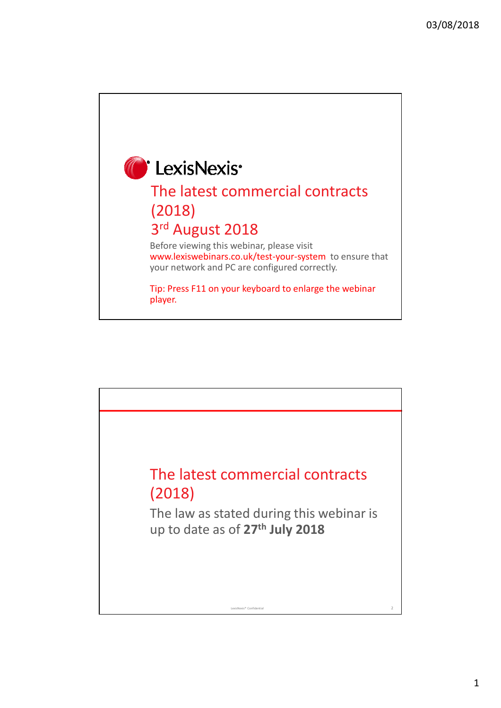

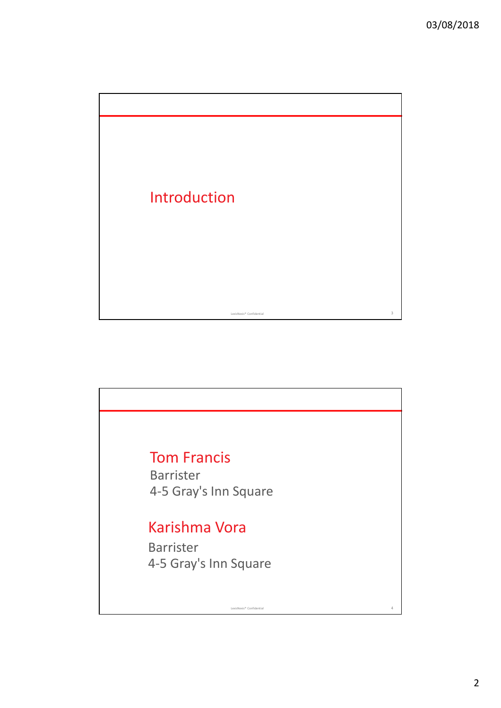

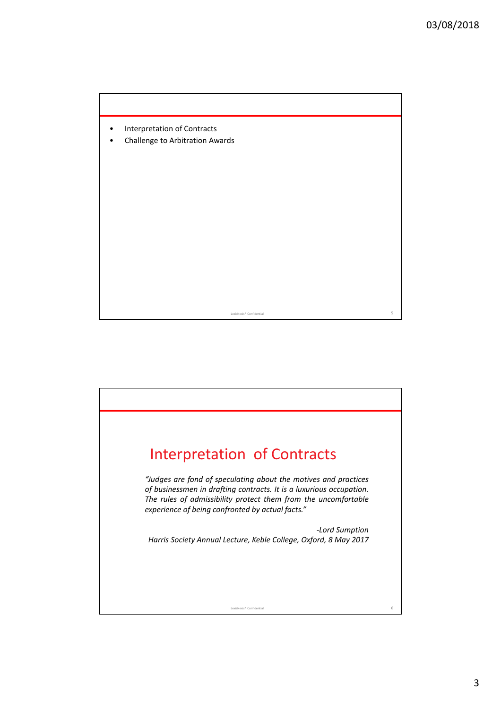

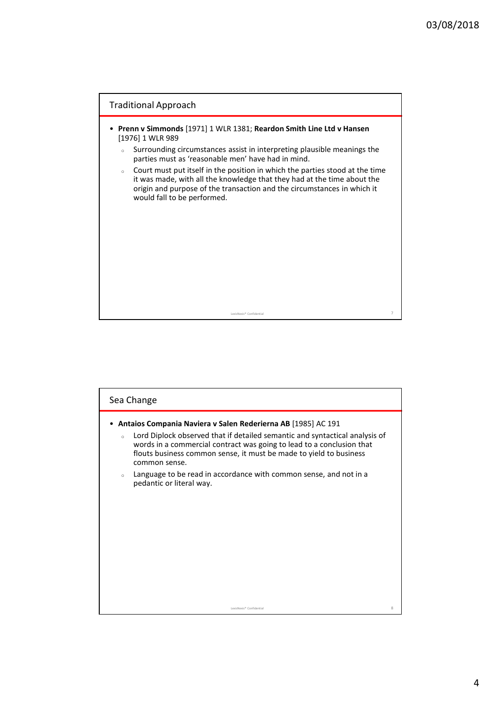

| Sea Change                                                                                                                                                                                                                                                                                                             |   |
|------------------------------------------------------------------------------------------------------------------------------------------------------------------------------------------------------------------------------------------------------------------------------------------------------------------------|---|
| Antaios Compania Naviera v Salen Rederierna AB [1985] AC 191<br>Lord Diplock observed that if detailed semantic and syntactical analysis of<br>$\circ$<br>words in a commercial contract was going to lead to a conclusion that<br>flouts business common sense, it must be made to yield to business<br>common sense. |   |
| Language to be read in accordance with common sense, and not in a<br>$\circ$<br>pedantic or literal way.                                                                                                                                                                                                               |   |
| LexisNexis® Confidential                                                                                                                                                                                                                                                                                               | 8 |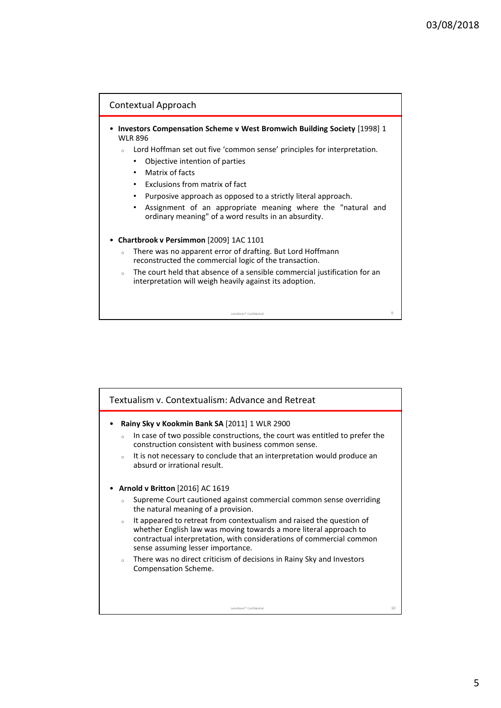

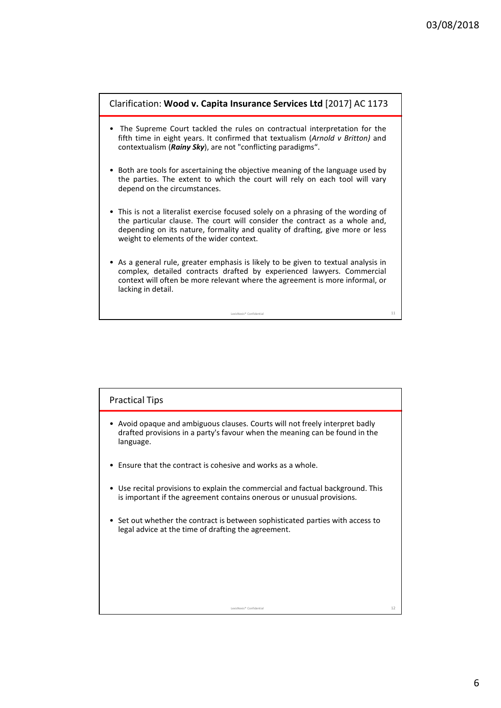

| <b>Practical Tips</b>                                                                                                                                                    |    |
|--------------------------------------------------------------------------------------------------------------------------------------------------------------------------|----|
| • Avoid opaque and ambiguous clauses. Courts will not freely interpret badly<br>drafted provisions in a party's favour when the meaning can be found in the<br>language. |    |
| $\bullet$ Fnsure that the contract is cohesive and works as a whole.                                                                                                     |    |
| • Use recital provisions to explain the commercial and factual background. This<br>is important if the agreement contains onerous or unusual provisions.                 |    |
| • Set out whether the contract is between sophisticated parties with access to<br>legal advice at the time of drafting the agreement.                                    |    |
|                                                                                                                                                                          |    |
|                                                                                                                                                                          |    |
| LexisNexis® Confidential                                                                                                                                                 | 12 |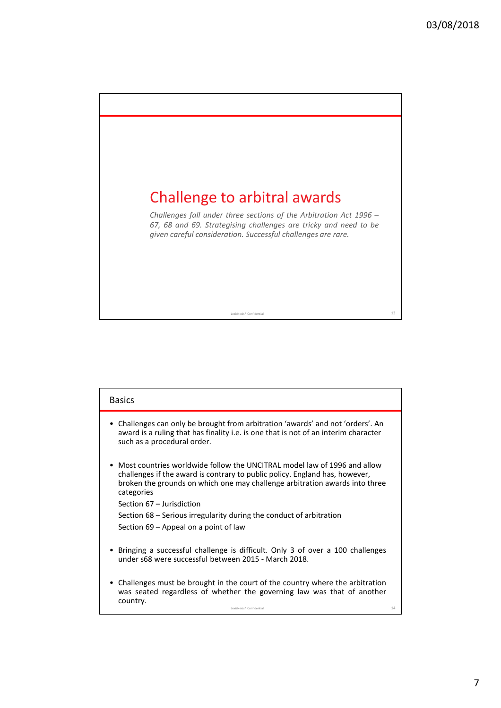

| <b>Basics</b>                                                                                                                                                                                                                                                                                                                                                                                       |    |
|-----------------------------------------------------------------------------------------------------------------------------------------------------------------------------------------------------------------------------------------------------------------------------------------------------------------------------------------------------------------------------------------------------|----|
| • Challenges can only be brought from arbitration 'awards' and not 'orders'. An<br>award is a ruling that has finality i.e. is one that is not of an interim character<br>such as a procedural order.                                                                                                                                                                                               |    |
| • Most countries worldwide follow the UNCITRAL model law of 1996 and allow<br>challenges if the award is contrary to public policy. England has, however,<br>broken the grounds on which one may challenge arbitration awards into three<br>categories<br>Section 67 - Jurisdiction<br>Section 68 – Serious irregularity during the conduct of arbitration<br>Section 69 – Appeal on a point of law |    |
| • Bringing a successful challenge is difficult. Only 3 of over a 100 challenges<br>under s68 were successful between 2015 - March 2018.                                                                                                                                                                                                                                                             |    |
| • Challenges must be brought in the court of the country where the arbitration<br>was seated regardless of whether the governing law was that of another<br>country.<br>LexisNexis® Confidential                                                                                                                                                                                                    | 14 |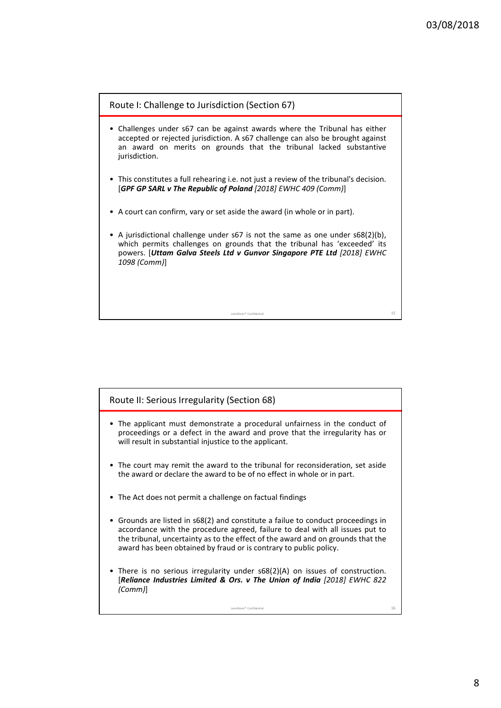

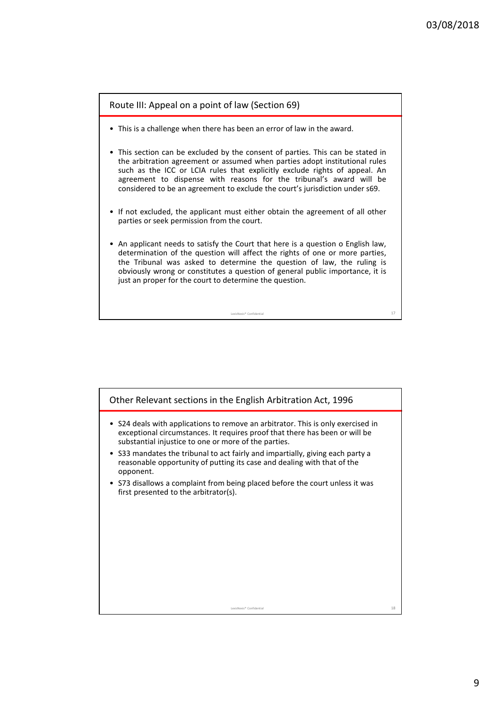

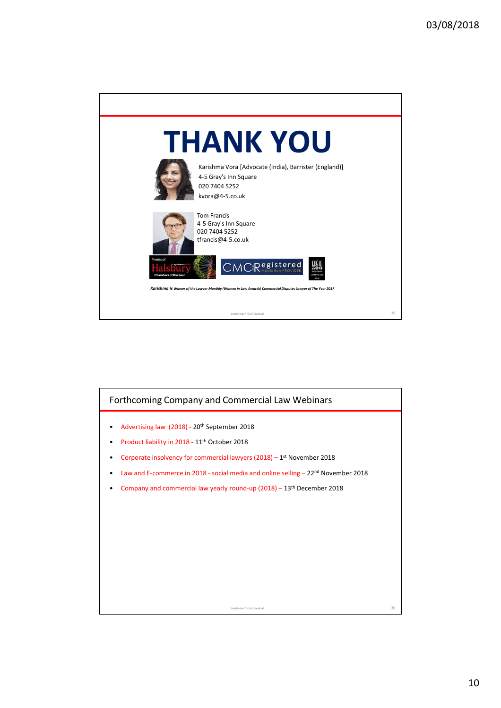

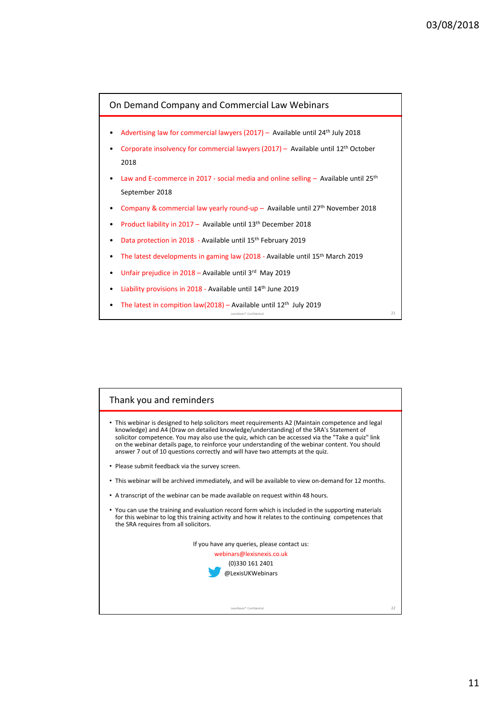

LexisNexis® Confidential 21